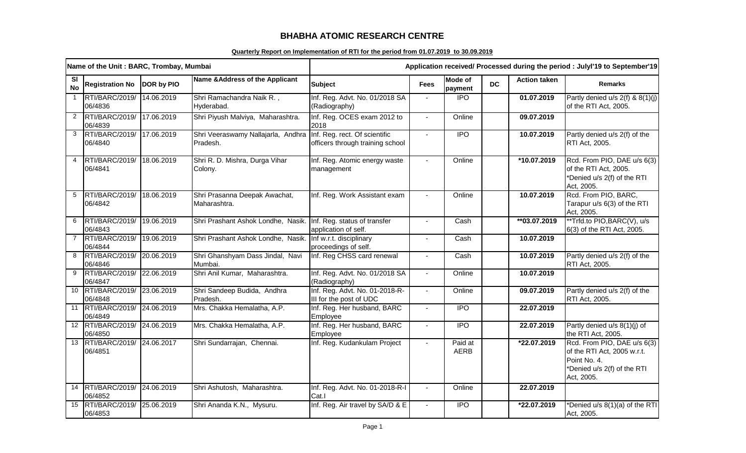## **BHABHA ATOMIC RESEARCH CENTRE**

## **Quarterly Report on Implementation of RTI for the period from 01.07.2019 to 30.09.2019**

|                        | Name of the Unit: BARC, Trombay, Mumbai |                   |                                                                              | Application received/ Processed during the period : Julyl'19 to September'19 |                |                           |           |                     |                                                                                                                         |
|------------------------|-----------------------------------------|-------------------|------------------------------------------------------------------------------|------------------------------------------------------------------------------|----------------|---------------------------|-----------|---------------------|-------------------------------------------------------------------------------------------------------------------------|
| <b>SI</b><br><b>No</b> | <b>Registration No</b>                  | <b>DOR by PIO</b> | Name & Address of the Applicant                                              | <b>Subject</b>                                                               | <b>Fees</b>    | <b>Mode of</b><br>payment | <b>DC</b> | <b>Action taken</b> | <b>Remarks</b>                                                                                                          |
| $\overline{1}$         | RTI/BARC/2019/<br>06/4836               | 14.06.2019        | Shri Ramachandra Naik R.,<br>Hyderabad.                                      | Inf. Reg. Advt. No. 01/2018 SA<br>(Radiography)                              |                | $\overline{1}$            |           | 01.07.2019          | Partly denied u/s 2(f) & 8(1)(j)<br>of the RTI Act, 2005.                                                               |
| 2                      | RTI/BARC/2019/<br>06/4839               | 17.06.2019        | Shri Piyush Malviya, Maharashtra.                                            | Inf. Reg. OCES exam 2012 to<br>2018                                          | $\blacksquare$ | Online                    |           | 09.07.2019          |                                                                                                                         |
| $\mathbf{3}$           | RTI/BARC/2019/<br>06/4840               | 17.06.2019        | Shri Veeraswamy Nallajarla, Andhra Inf. Reg. rect. Of scientific<br>Pradesh. | officers through training school                                             | $\mathbf{r}$   | <b>IPO</b>                |           | 10.07.2019          | Partly denied u/s 2(f) of the<br>RTI Act, 2005.                                                                         |
|                        | RTI/BARC/2019/<br>06/4841               | 18.06.2019        | Shri R. D. Mishra, Durga Vihar<br>Colony.                                    | Inf. Reg. Atomic energy waste<br>management                                  |                | Online                    |           | *10.07.2019         | Rcd. From PIO, DAE u/s 6(3)<br>of the RTI Act, 2005.<br>*Denied u/s 2(f) of the RTI<br>Act, 2005.                       |
| 5                      | RTI/BARC/2019/<br>06/4842               | 18.06.2019        | Shri Prasanna Deepak Awachat,<br>Maharashtra.                                | Inf. Reg. Work Assistant exam                                                |                | Online                    |           | 10.07.2019          | Rcd. From PIO, BARC,<br>Tarapur u/s 6(3) of the RTI<br>Act, 2005.                                                       |
| 6                      | RTI/BARC/2019/ 19.06.2019<br>06/4843    |                   | Shri Prashant Ashok Londhe, Nasik. Inf. Reg. status of transfer              | application of self.                                                         |                | Cash                      |           | **03.07.2019        | **Trfd.to PIO, BARC(V), u/s<br>6(3) of the RTI Act, 2005.                                                               |
| $\overline{7}$         | RTI/BARC/2019/<br>06/4844               | 19.06.2019        | Shri Prashant Ashok Londhe, Nasik. Inf w.r.t. disciplinary                   | proceedings of self.                                                         | $\overline{a}$ | Cash                      |           | 10.07.2019          |                                                                                                                         |
| 8                      | RTI/BARC/2019/<br>06/4846               | 20.06.2019        | Shri Ghanshyam Dass Jindal, Navi<br>Mumbai.                                  | Inf. Reg CHSS card renewal                                                   | $\blacksquare$ | Cash                      |           | 10.07.2019          | Partly denied u/s 2(f) of the<br>RTI Act, 2005.                                                                         |
| 9                      | RTI/BARC/2019/<br>06/4847               | 22.06.2019        | Shri Anil Kumar, Maharashtra.                                                | Inf. Reg. Advt. No. 01/2018 SA<br>(Radiography)                              | $\blacksquare$ | Online                    |           | 10.07.2019          |                                                                                                                         |
| 10                     | RTI/BARC/2019/<br>06/4848               | 23.06.2019        | Shri Sandeep Budida, Andhra<br>Pradesh.                                      | Inf. Reg. Advt. No. 01-2018-R-<br>III for the post of UDC                    | $\overline{a}$ | Online                    |           | 09.07.2019          | Partly denied u/s 2(f) of the<br>RTI Act, 2005.                                                                         |
| 11                     | RTI/BARC/2019/<br>06/4849               | 24.06.2019        | Mrs. Chakka Hemalatha, A.P.                                                  | Inf. Reg. Her husband, BARC<br>Employee                                      |                | $\overline{1}$            |           | 22.07.2019          |                                                                                                                         |
|                        | 12 RTI/BARC/2019/<br>06/4850            | 24.06.2019        | Mrs. Chakka Hemalatha, A.P.                                                  | Inf. Reg. Her husband, BARC<br>Employee                                      | $\sim$         | $\overline{1}$            |           | 22.07.2019          | Partly denied u/s 8(1)(j) of<br>the RTI Act, 2005.                                                                      |
| 13                     | RTI/BARC/2019/ 24.06.2017<br>06/4851    |                   | Shri Sundarrajan, Chennai.                                                   | Inf. Reg. Kudankulam Project                                                 | $\blacksquare$ | Paid at<br>AERB           |           | *22.07.2019         | Rcd. From PIO, DAE u/s 6(3)<br>of the RTI Act, 2005 w.r.t.<br>Point No. 4.<br>*Denied u/s 2(f) of the RTI<br>Act, 2005. |
| 14                     | RTI/BARC/2019/<br>06/4852               | 24.06.2019        | Shri Ashutosh, Maharashtra.                                                  | Inf. Reg. Advt. No. 01-2018-R-I<br>Cat.I                                     | $\blacksquare$ | Online                    |           | 22.07.2019          |                                                                                                                         |
| 15                     | RTI/BARC/2019/<br>06/4853               | 25.06.2019        | Shri Ananda K.N., Mysuru.                                                    | Inf. Reg. Air travel by SA/D & E                                             |                | $\overline{1}$            |           | *22.07.2019         | *Denied u/s 8(1)(a) of the RTI<br>Act, 2005.                                                                            |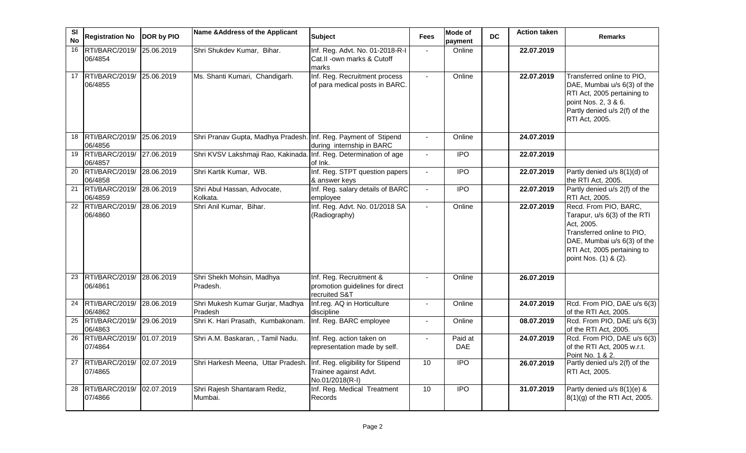| <b>SI</b><br><b>No</b> | <b>Registration No</b>               | <b>DOR by PIO</b> | Name & Address of the Applicant                                   | <b>Subject</b>                                                                | <b>Fees</b>              | <b>Mode of</b><br>payment | <b>DC</b> | <b>Action taken</b> | <b>Remarks</b>                                                                                                                                                                           |
|------------------------|--------------------------------------|-------------------|-------------------------------------------------------------------|-------------------------------------------------------------------------------|--------------------------|---------------------------|-----------|---------------------|------------------------------------------------------------------------------------------------------------------------------------------------------------------------------------------|
| 16                     | RTI/BARC/2019/<br>06/4854            | 25.06.2019        | Shri Shukdev Kumar, Bihar.                                        | Inf. Reg. Advt. No. 01-2018-R-I<br>Cat.II - own marks & Cutoff<br>marks       | $\blacksquare$           | Online                    |           | 22.07.2019          |                                                                                                                                                                                          |
| 17                     | RTI/BARC/2019/ 25.06.2019<br>06/4855 |                   | Ms. Shanti Kumari, Chandigarh.                                    | Inf. Reg. Recruitment process<br>of para medical posts in BARC.               | $\mathbf{r}$             | Online                    |           | 22.07.2019          | Transferred online to PIO,<br>DAE, Mumbai u/s 6(3) of the<br>RTI Act, 2005 pertaining to<br>point Nos. 2, 3 & 6.<br>Partly denied u/s 2(f) of the<br>RTI Act, 2005.                      |
| 18                     | RTI/BARC/2019/<br>06/4856            | 25.06.2019        | Shri Pranav Gupta, Madhya Pradesh. Inf. Reg. Payment of Stipend   | during internship in BARC                                                     |                          | Online                    |           | 24.07.2019          |                                                                                                                                                                                          |
| 19                     | RTI/BARC/2019/ 27.06.2019<br>06/4857 |                   | Shri KVSV Lakshmaji Rao, Kakinada. Inf. Reg. Determination of age | of Ink.                                                                       | $\blacksquare$           | $\overline{1}$            |           | 22.07.2019          |                                                                                                                                                                                          |
| 20                     | RTI/BARC/2019/<br>06/4858            | 28.06.2019        | Shri Kartik Kumar, WB.                                            | Inf. Reg. STPT question papers<br>& answer keys                               | $\sim$                   | $\overline{1}$            |           | 22.07.2019          | Partly denied u/s 8(1)(d) of<br>the RTI Act, 2005.                                                                                                                                       |
| 21                     | RTI/BARC/2019/<br>06/4859            | 28.06.2019        | Shri Abul Hassan, Advocate,<br>Kolkata.                           | Inf. Reg. salary details of BARC<br>employee                                  | $\mathbf{r}$             | <b>IPO</b>                |           | 22.07.2019          | Partly denied u/s 2(f) of the<br>RTI Act, 2005.                                                                                                                                          |
|                        | 22 RTI/BARC/2019/<br>06/4860         | 28.06.2019        | Shri Anil Kumar, Bihar.                                           | Inf. Reg. Advt. No. 01/2018 SA<br>(Radiography)                               | $\blacksquare$           | Online                    |           | 22.07.2019          | Recd. From PIO, BARC,<br>Tarapur, u/s 6(3) of the RTI<br>Act, 2005.<br>Transferred online to PIO,<br>DAE, Mumbai u/s 6(3) of the<br>RTI Act, 2005 pertaining to<br>point Nos. (1) & (2). |
| 23                     | RTI/BARC/2019/ 28.06.2019<br>06/4861 |                   | Shri Shekh Mohsin, Madhya<br>Pradesh.                             | Inf. Reg. Recruitment &<br>promotion guidelines for direct<br>recruited S&T   |                          | Online                    |           | 26.07.2019          |                                                                                                                                                                                          |
| 24                     | RTI/BARC/2019/ 28.06.2019<br>06/4862 |                   | Shri Mukesh Kumar Gurjar, Madhya<br>Pradesh                       | Inf.reg. AQ in Horticulture<br>discipline                                     |                          | Online                    |           | 24.07.2019          | Rcd. From PIO, DAE u/s 6(3)<br>of the RTI Act, 2005.                                                                                                                                     |
| 25                     | RTI/BARC/2019/<br>06/4863            | 29.06.2019        | Shri K. Hari Prasath, Kumbakonam.                                 | Inf. Reg. BARC employee                                                       | $\overline{\phantom{a}}$ | Online                    |           | 08.07.2019          | Rcd. From PIO, DAE u/s 6(3)<br>of the RTI Act, 2005.                                                                                                                                     |
| 26                     | RTI/BARC/2019/ 01.07.2019<br>07/4864 |                   | Shri A.M. Baskaran, , Tamil Nadu.                                 | Inf. Reg. action taken on<br>representation made by self.                     | $\overline{\phantom{a}}$ | Paid at<br>DAE            |           | 24.07.2019          | Rcd. From PIO, DAE u/s 6(3)<br>of the RTI Act, 2005 w.r.t.<br>Point No. 1 & 2.                                                                                                           |
| 27                     | RTI/BARC/2019/<br>07/4865            | 02.07.2019        | Shri Harkesh Meena, Uttar Pradesh.                                | Inf. Reg. eligibility for Stipend<br>Trainee against Advt.<br>No.01/2018(R-I) | 10                       | <b>IPO</b>                |           | 26.07.2019          | Partly denied u/s 2(f) of the<br>RTI Act, 2005.                                                                                                                                          |
| 28                     | RTI/BARC/2019/<br>07/4866            | 02.07.2019        | Shri Rajesh Shantaram Rediz,<br>Mumbai.                           | Inf. Reg. Medical Treatment<br><b>Records</b>                                 | 10                       | <b>IPO</b>                |           | 31.07.2019          | Partly denied u/s 8(1)(e) &<br>8(1)(g) of the RTI Act, 2005.                                                                                                                             |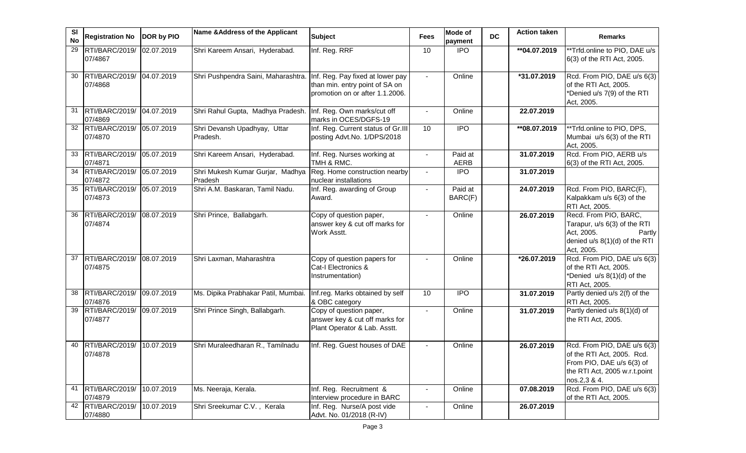| SI<br><b>No</b> | <b>Registration No</b>               | DOR by PIO | Name & Address of the Applicant             | <b>Subject</b>                                                                                        | Fees           | Mode of<br>payment     | <b>DC</b> | <b>Action taken</b> | <b>Remarks</b>                                                                                                                          |
|-----------------|--------------------------------------|------------|---------------------------------------------|-------------------------------------------------------------------------------------------------------|----------------|------------------------|-----------|---------------------|-----------------------------------------------------------------------------------------------------------------------------------------|
| 29              | RTI/BARC/2019/<br>07/4867            | 02.07.2019 | Shri Kareem Ansari, Hyderabad.              | Inf. Reg. RRF                                                                                         | 10             | <b>IPO</b>             |           | ** 04.07.2019       | **Trfd.online to PIO, DAE u/s<br>6(3) of the RTI Act, 2005.                                                                             |
| 30              | RTI/BARC/2019/<br>07/4868            | 04.07.2019 | Shri Pushpendra Saini, Maharashtra.         | Inf. Reg. Pay fixed at lower pay<br>than min. entry point of SA on<br>promotion on or after 1.1.2006. | $\blacksquare$ | Online                 |           | *31.07.2019         | Rcd. From PIO, DAE u/s 6(3)<br>of the RTI Act, 2005.<br>*Denied u/s 7(9) of the RTI<br>Act, 2005.                                       |
| 31              | RTI/BARC/2019/ 04.07.2019<br>07/4869 |            | Shri Rahul Gupta, Madhya Pradesh.           | Inf. Reg. Own marks/cut off<br>marks in OCES/DGFS-19                                                  |                | Online                 |           | 22.07.2019          |                                                                                                                                         |
| 32              | RTI/BARC/2019/<br>07/4870            | 05.07.2019 | Shri Devansh Upadhyay, Uttar<br>Pradesh.    | Inf. Reg. Current status of Gr.III<br>posting Advt.No. 1/DPS/2018                                     | 10             | $\overline{1}$         |           | **08.07.2019        | **Trfd.online to PIO, DPS,<br>Mumbai u/s 6(3) of the RTI<br>Act, 2005.                                                                  |
| 33              | RTI/BARC/2019/<br>07/4871            | 05.07.2019 | Shri Kareem Ansari, Hyderabad.              | Inf. Reg. Nurses working at<br>TMH & RMC.                                                             |                | Paid at<br><b>AERB</b> |           | 31.07.2019          | Rcd. From PIO, AERB u/s<br>6(3) of the RTI Act, 2005.                                                                                   |
| 34              | RTI/BARC/2019/<br>07/4872            | 05.07.2019 | Shri Mukesh Kumar Gurjar, Madhya<br>Pradesh | Reg. Home construction nearby<br>nuclear installations                                                | $\blacksquare$ | <b>IPO</b>             |           | 31.07.2019          |                                                                                                                                         |
| 35              | RTI/BARC/2019/<br>07/4873            | 05.07.2019 | Shri A.M. Baskaran, Tamil Nadu.             | Inf. Reg. awarding of Group<br>Award.                                                                 | $\blacksquare$ | Paid at<br>BARC(F)     |           | 24.07.2019          | Rcd. From PIO, BARC(F),<br>Kalpakkam u/s 6(3) of the<br>RTI Act, 2005.                                                                  |
| 36              | RTI/BARC/2019/<br>07/4874            | 08.07.2019 | Shri Prince, Ballabgarh.                    | Copy of question paper,<br>answer key & cut off marks for<br>Work Asstt.                              | $\sim$         | Online                 |           | 26.07.2019          | Recd. From PIO, BARC,<br>Tarapur, u/s 6(3) of the RTI<br>Act, 2005.<br>Partly<br>denied u/s 8(1)(d) of the RTI<br>Act, 2005.            |
| 37              | RTI/BARC/2019/<br>07/4875            | 08.07.2019 | Shri Laxman, Maharashtra                    | Copy of question papers for<br>Cat-I Electronics &<br>Instrumentation)                                |                | Online                 |           | *26.07.2019         | Rcd. From PIO, DAE u/s 6(3)<br>of the RTI Act, 2005.<br>*Denied u/s 8(1)(d) of the<br>RTI Act, 2005.                                    |
| 38              | RTI/BARC/2019/<br>07/4876            | 09.07.2019 | Ms. Dipika Prabhakar Patil, Mumbai.         | Inf.reg. Marks obtained by self<br>& OBC category                                                     | 10             | <b>IPO</b>             |           | 31.07.2019          | Partly denied u/s 2(f) of the<br>RTI Act, 2005.                                                                                         |
| 39              | RTI/BARC/2019/<br>07/4877            | 09.07.2019 | Shri Prince Singh, Ballabgarh.              | Copy of question paper,<br>answer key & cut off marks for<br>Plant Operator & Lab. Asstt.             |                | Online                 |           | 31.07.2019          | Partly denied u/s 8(1)(d) of<br>the RTI Act, 2005.                                                                                      |
| 40              | RTI/BARC/2019/<br>07/4878            | 10.07.2019 | Shri Muraleedharan R., Tamilnadu            | Inf. Reg. Guest houses of DAE                                                                         |                | Online                 |           | 26.07.2019          | Rcd. From PIO, DAE u/s 6(3)<br>of the RTI Act, 2005. Rcd.<br>From PIO, DAE u/s 6(3) of<br>the RTI Act, 2005 w.r.t.point<br>nos.2,3 & 4. |
| 41              | RTI/BARC/2019/<br>07/4879            | 10.07.2019 | Ms. Neeraja, Kerala.                        | Inf. Reg. Recruitment &<br>Interview procedure in BARC                                                |                | Online                 |           | 07.08.2019          | Rcd. From PIO, DAE u/s 6(3)<br>of the RTI Act, 2005.                                                                                    |
| 42              | RTI/BARC/2019/<br>07/4880            | 10.07.2019 | Shri Sreekumar C.V., Kerala                 | Inf. Reg. Nurse/A post vide<br>Advt. No. 01/2018 (R-IV)                                               |                | Online                 |           | 26.07.2019          |                                                                                                                                         |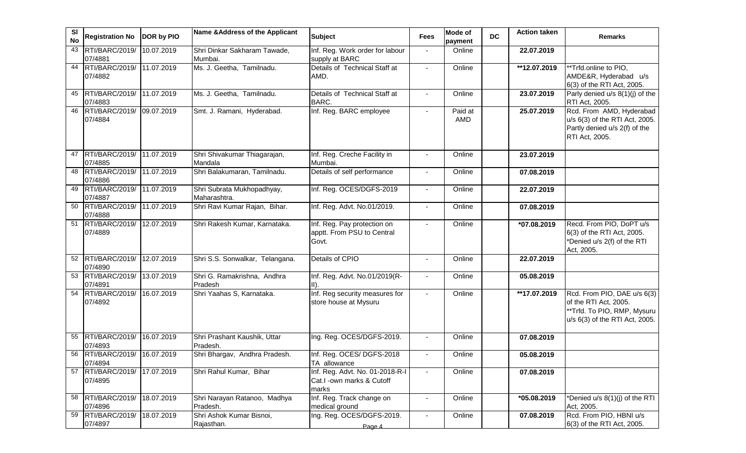| SI<br><b>No</b> | <b>Registration No</b>               | DOR by PIO | Name & Address of the Applicant            | <b>Subject</b>                                                        | <b>Fees</b>    | <b>Mode of</b><br>payment | <b>DC</b> | <b>Action taken</b> | <b>Remarks</b>                                                                                                        |
|-----------------|--------------------------------------|------------|--------------------------------------------|-----------------------------------------------------------------------|----------------|---------------------------|-----------|---------------------|-----------------------------------------------------------------------------------------------------------------------|
| 43              | RTI/BARC/2019/<br>07/4881            | 10.07.2019 | Shri Dinkar Sakharam Tawade,<br>Mumbai.    | Inf. Reg. Work order for labour<br>supply at BARC                     |                | Online                    |           | 22.07.2019          |                                                                                                                       |
| 44              | RTI/BARC/2019/<br>07/4882            | 11.07.2019 | Ms. J. Geetha, Tamilnadu.                  | Details of Technical Staff at<br>AMD.                                 | $\blacksquare$ | Online                    |           | **12.07.2019        | **Trfd.online to PIO,<br>AMDE&R, Hyderabad u/s<br>6(3) of the RTI Act, 2005.                                          |
| 45              | RTI/BARC/2019/ 11.07.2019<br>07/4883 |            | Ms. J. Geetha, Tamilnadu.                  | Details of Technical Staff at<br>BARC.                                |                | Online                    |           | 23.07.2019          | Parly denied u/s 8(1)(j) of the<br>RTI Act, 2005.                                                                     |
| 46              | RTI/BARC/2019/<br>07/4884            | 09.07.2019 | Smt. J. Ramani, Hyderabad.                 | Inf. Reg. BARC employee                                               |                | Paid at<br>AMD            |           | 25.07.2019          | Rcd. From AMD, Hyderabad<br>u/s 6(3) of the RTI Act, 2005.<br>Partly denied u/s 2(f) of the<br>RTI Act, 2005.         |
| 47              | RTI/BARC/2019/<br>07/4885            | 11.07.2019 | Shri Shivakumar Thiagarajan,<br>Mandala    | Inf. Reg. Creche Facility in<br>Mumbai.                               | $\blacksquare$ | Online                    |           | 23.07.2019          |                                                                                                                       |
| 48              | RTI/BARC/2019/<br>07/4886            | 11.07.2019 | Shri Balakumaran, Tamilnadu.               | Details of self performance                                           | $\blacksquare$ | Online                    |           | 07.08.2019          |                                                                                                                       |
| 49              | RTI/BARC/2019/ 11.07.2019<br>07/4887 |            | Shri Subrata Mukhopadhyay,<br>Maharashtra. | Inf. Reg. OCES/DGFS-2019                                              |                | Online                    |           | 22.07.2019          |                                                                                                                       |
| 50              | RTI/BARC/2019/ 11.07.2019<br>07/4888 |            | Shri Ravi Kumar Rajan, Bihar.              | Inf. Reg. Advt. No.01/2019.                                           | $\overline{a}$ | Online                    |           | 07.08.2019          |                                                                                                                       |
| 51              | RTI/BARC/2019/<br>07/4889            | 12.07.2019 | Shri Rakesh Kumar, Karnataka.              | Inf. Reg. Pay protection on<br>apptt. From PSU to Central<br>Govt.    | $\blacksquare$ | Online                    |           | *07.08.2019         | Recd. From PIO, DoPT u/s<br>6(3) of the RTI Act, 2005.<br>*Denied u/s 2(f) of the RTI<br>Act, 2005.                   |
| 52              | RTI/BARC/2019/<br>07/4890            | 12.07.2019 | Shri S.S. Sonwalkar, Telangana.            | Details of CPIO                                                       | $\blacksquare$ | Online                    |           | 22.07.2019          |                                                                                                                       |
| 53              | RTI/BARC/2019/<br>07/4891            | 13.07.2019 | Shri G. Ramakrishna, Andhra<br>Pradesh     | Inf. Reg. Advt. No.01/2019(R-<br>$ 11\rangle$ .                       |                | Online                    |           | 05.08.2019          |                                                                                                                       |
| 54              | RTI/BARC/2019/<br>07/4892            | 16.07.2019 | Shri Yaahas S, Karnataka.                  | Inf. Reg security measures for<br>store house at Mysuru               |                | Online                    |           | **17.07.2019        | Rcd. From PIO, DAE u/s 6(3)<br>of the RTI Act, 2005.<br>**Trfd. To PIO, RMP, Mysuru<br>u/s 6(3) of the RTI Act, 2005. |
| 55              | RTI/BARC/2019/<br>07/4893            | 16.07.2019 | Shri Prashant Kaushik, Uttar<br>Pradesh.   | Ing. Reg. OCES/DGFS-2019.                                             |                | Online                    |           | 07.08.2019          |                                                                                                                       |
| 56              | RTI/BARC/2019/ 16.07.2019<br>07/4894 |            | Shri Bhargav, Andhra Pradesh.              | Inf. Reg. OCES/ DGFS-2018<br>TA allowance                             |                | Online                    |           | 05.08.2019          |                                                                                                                       |
| 57              | RTI/BARC/2019/<br>07/4895            | 17.07.2019 | Shri Rahul Kumar, Bihar                    | Inf. Reg. Advt. No. 01-2018-R-I<br>Cat.I -own marks & Cutoff<br>marks |                | Online                    |           | 07.08.2019          |                                                                                                                       |
| 58              | RTI/BARC/2019/<br>07/4896            | 18.07.2019 | Shri Narayan Ratanoo, Madhya<br>Pradesh.   | Inf. Reg. Track change on<br>medical ground                           |                | Online                    |           | *05.08.2019         | *Denied u/s 8(1)(j) of the RTI<br>Act, 2005.                                                                          |
| 59              | RTI/BARC/2019/<br>07/4897            | 18.07.2019 | Shri Ashok Kumar Bisnoi,<br>Rajasthan.     | Ing. Reg. OCES/DGFS-2019.<br>Page 4                                   |                | Online                    |           | 07.08.2019          | Rcd. From PIO, HBNI u/s<br>6(3) of the RTI Act, 2005.                                                                 |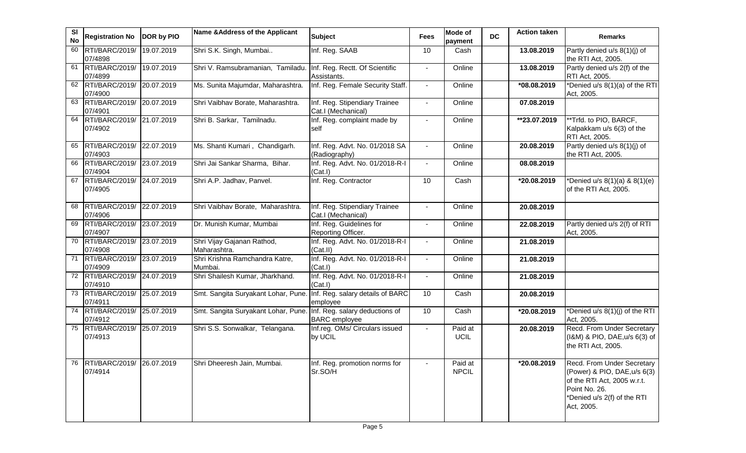| <b>SI</b><br><b>No</b> | <b>Registration No</b>               | DOR by PIO | Name & Address of the Applicant            | <b>Subject</b>                                         | <b>Fees</b>    | Mode of<br>payment      | <b>DC</b> | <b>Action taken</b> | <b>Remarks</b>                                                                                                                                          |
|------------------------|--------------------------------------|------------|--------------------------------------------|--------------------------------------------------------|----------------|-------------------------|-----------|---------------------|---------------------------------------------------------------------------------------------------------------------------------------------------------|
| 60                     | RTI/BARC/2019/<br>07/4898            | 19.07.2019 | Shri S.K. Singh, Mumbai                    | Inf. Reg. SAAB                                         | 10             | Cash                    |           | 13.08.2019          | Partly denied u/s 8(1)(j) of<br>the RTI Act, 2005.                                                                                                      |
|                        | 61 RTI/BARC/2019/<br>07/4899         | 19.07.2019 | Shri V. Ramsubramanian, Tamiladu           | Inf. Reg. Rectt. Of Scientific<br>Assistants.          | $\blacksquare$ | Online                  |           | 13.08.2019          | Partly denied u/s 2(f) of the<br>RTI Act, 2005.                                                                                                         |
|                        | 62 RTI/BARC/2019/<br>07/4900         | 20.07.2019 | Ms. Sunita Majumdar, Maharashtra.          | Inf. Reg. Female Security Staff.                       | $\blacksquare$ | Online                  |           | *08.08.2019         | *Denied u/s 8(1)(a) of the RTI<br>Act, 2005.                                                                                                            |
| 63                     | RTI/BARC/2019/<br>07/4901            | 20.07.2019 | Shri Vaibhav Borate, Maharashtra.          | Inf. Reg. Stipendiary Trainee<br>Cat.I (Mechanical)    | $\sim$         | Online                  |           | 07.08.2019          |                                                                                                                                                         |
| 64                     | RTI/BARC/2019/ 21.07.2019<br>07/4902 |            | Shri B. Sarkar, Tamilnadu.                 | Inf. Reg. complaint made by<br>self                    |                | Online                  |           | **23.07.2019        | **Trfd. to PIO, BARCF,<br>Kalpakkam u/s 6(3) of the<br>RTI Act, 2005.                                                                                   |
| 65                     | RTI/BARC/2019/ 22.07.2019<br>07/4903 |            | Ms. Shanti Kumari, Chandigarh.             | Inf. Reg. Advt. No. 01/2018 SA<br>(Radiography)        |                | Online                  |           | 20.08.2019          | Partly denied u/s 8(1)(j) of<br>the RTI Act, 2005.                                                                                                      |
| 66                     | RTI/BARC/2019/ 23.07.2019<br>07/4904 |            | Shri Jai Sankar Sharma, Bihar.             | Inf. Reg. Advt. No. 01/2018-R-I<br>(Cat.1)             | $\sim$         | Online                  |           | 08.08.2019          |                                                                                                                                                         |
| 67                     | RTI/BARC/2019/ 24.07.2019<br>07/4905 |            | Shri A.P. Jadhav, Panvel.                  | Inf. Reg. Contractor                                   | 10             | Cash                    |           | *20.08.2019         | *Denied u/s $8(1)(a)$ & $8(1)(e)$<br>of the RTI Act, 2005.                                                                                              |
| 68                     | RTI/BARC/2019/ 22.07.2019<br>07/4906 |            | Shri Vaibhav Borate, Maharashtra.          | Inf. Reg. Stipendiary Trainee<br>Cat.I (Mechanical)    | $\blacksquare$ | Online                  |           | 20.08.2019          |                                                                                                                                                         |
| 69                     | RTI/BARC/2019/ 23.07.2019<br>07/4907 |            | Dr. Munish Kumar, Mumbai                   | Inf. Reg. Guidelines for<br>Reporting Officer.         | $\blacksquare$ | Online                  |           | 22.08.2019          | Partly denied u/s 2(f) of RTI<br>Act, 2005.                                                                                                             |
| 70                     | RTI/BARC/2019/ 23.07.2019<br>07/4908 |            | Shri Vijay Gajanan Rathod,<br>Maharashtra. | Inf. Reg. Advt. No. 01/2018-R-I<br>(Cat.II)            |                | Online                  |           | 21.08.2019          |                                                                                                                                                         |
|                        | 71 RTI/BARC/2019/<br>07/4909         | 23.07.2019 | Shri Krishna Ramchandra Katre,<br>Mumbai.  | Inf. Reg. Advt. No. 01/2018-R-I<br>(Cat.1)             | $\blacksquare$ | Online                  |           | 21.08.2019          |                                                                                                                                                         |
|                        | 72 RTI/BARC/2019/<br>07/4910         | 24.07.2019 | Shri Shailesh Kumar, Jharkhand.            | Inf. Reg. Advt. No. 01/2018-R-I<br>(Cat.1)             | $\blacksquare$ | Online                  |           | 21.08.2019          |                                                                                                                                                         |
|                        | 73 RTI/BARC/2019/<br>07/4911         | 25.07.2019 | Smt. Sangita Suryakant Lohar, Pune         | Inf. Reg. salary details of BARC<br>employee           | 10             | Cash                    |           | 20.08.2019          |                                                                                                                                                         |
| 74                     | RTI/BARC/2019/<br>07/4912            | 25.07.2019 | Smt. Sangita Suryakant Lohar, Pune.        | Inf. Reg. salary deductions of<br><b>BARC</b> employee | 10             | Cash                    |           | *20.08.2019         | *Denied u/s $8(1)(j)$ of the RTI<br>Act, 2005.                                                                                                          |
| 75                     | RTI/BARC/2019/<br>07/4913            | 25.07.2019 | Shri S.S. Sonwalkar, Telangana.            | Inf.reg. OMs/ Circulars issued<br>by UCIL              | $\blacksquare$ | Paid at<br>UCIL         |           | 20.08.2019          | Recd. From Under Secretary<br>(I&M) & PIO, DAE, u/s 6(3) of<br>the RTI Act, 2005.                                                                       |
| 76                     | RTI/BARC/2019/ 26.07.2019<br>07/4914 |            | Shri Dheeresh Jain, Mumbai.                | Inf. Reg. promotion norms for<br>Sr.SO/H               |                | Paid at<br><b>NPCIL</b> |           | *20.08.2019         | Recd. From Under Secretary<br>(Power) & PIO, DAE, u/s 6(3)<br>of the RTI Act, 2005 w.r.t.<br>Point No. 26.<br>*Denied u/s 2(f) of the RTI<br>Act, 2005. |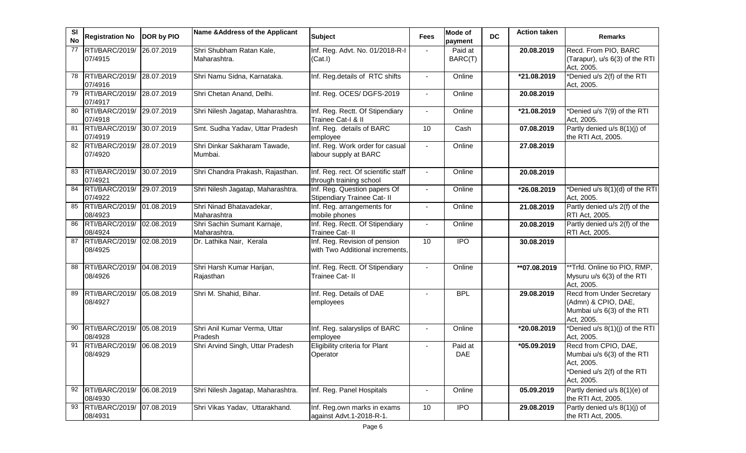| SI<br><b>No</b> | <b>Registration No</b>               | DOR by PIO | Name & Address of the Applicant             | <b>Subject</b>                                                   | Fees           | Mode of<br>payment    | <b>DC</b> | <b>Action taken</b> | <b>Remarks</b>                                                                                                |
|-----------------|--------------------------------------|------------|---------------------------------------------|------------------------------------------------------------------|----------------|-----------------------|-----------|---------------------|---------------------------------------------------------------------------------------------------------------|
| 77              | RTI/BARC/2019/<br>07/4915            | 26.07.2019 | Shri Shubham Ratan Kale,<br>Maharashtra.    | Inf. Reg. Advt. No. 01/2018-R-I<br>(Cat.1)                       |                | Paid at<br>BARC(T)    |           | 20.08.2019          | Recd. From PIO, BARC<br>(Tarapur), u/s 6(3) of the RTI<br>Act, 2005.                                          |
| 78              | RTI/BARC/2019/ 28.07.2019<br>07/4916 |            | Shri Namu Sidna, Karnataka.                 | Inf. Reg.details of RTC shifts                                   | $\blacksquare$ | Online                |           | *21.08.2019         | *Denied u/s 2(f) of the RTI<br>Act, 2005.                                                                     |
| 79              | RTI/BARC/2019/ 28.07.2019<br>07/4917 |            | Shri Chetan Anand, Delhi.                   | Inf. Reg. OCES/ DGFS-2019                                        | $\blacksquare$ | Online                |           | 20.08.2019          |                                                                                                               |
| 80              | RTI/BARC/2019/ 29.07.2019<br>07/4918 |            | Shri Nilesh Jagatap, Maharashtra.           | Inf. Reg. Rectt. Of Stipendiary<br>Trainee Cat-I & II            | $\blacksquare$ | Online                |           | *21.08.2019         | *Denied u/s 7(9) of the RTI<br>Act, 2005.                                                                     |
| 81              | RTI/BARC/2019/ 30.07.2019<br>07/4919 |            | Smt. Sudha Yadav, Uttar Pradesh             | Inf. Reg. details of BARC<br>employee                            | 10             | Cash                  |           | 07.08.2019          | Partly denied u/s 8(1)(j) of<br>the RTI Act, 2005.                                                            |
| 82              | RTI/BARC/2019/ 28.07.2019<br>07/4920 |            | Shri Dinkar Sakharam Tawade,<br>Mumbai.     | Inf. Reg. Work order for casual<br>labour supply at BARC         |                | Online                |           | 27.08.2019          |                                                                                                               |
| 83              | RTI/BARC/2019/ 30.07.2019<br>07/4921 |            | Shri Chandra Prakash, Rajasthan.            | Inf. Reg. rect. Of scientific staff<br>through training school   |                | Online                |           | 20.08.2019          |                                                                                                               |
| 84              | RTI/BARC/2019/ 29.07.2019<br>07/4922 |            | Shri Nilesh Jagatap, Maharashtra.           | Inf. Reg. Question papers Of<br>Stipendiary Trainee Cat- II      |                | Online                |           | *26.08.2019         | *Denied u/s 8(1)(d) of the RTI<br>Act, 2005.                                                                  |
| 85              | RTI/BARC/2019/ 01.08.2019<br>08/4923 |            | Shri Ninad Bhatavadekar,<br>Maharashtra     | Inf. Reg. arrangements for<br>mobile phones                      | $\blacksquare$ | Online                |           | 21.08.2019          | Partly denied u/s 2(f) of the<br>RTI Act, 2005.                                                               |
| 86              | RTI/BARC/2019/<br>08/4924            | 02.08.2019 | Shri Sachin Sumant Karnaje,<br>Maharashtra. | Inf. Reg. Rectt. Of Stipendiary<br>Trainee Cat- II               | $\blacksquare$ | Online                |           | 20.08.2019          | Partly denied u/s 2(f) of the<br>RTI Act, 2005.                                                               |
| 87              | RTI/BARC/2019/<br>08/4925            | 02.08.2019 | Dr. Lathika Nair, Kerala                    | Inf. Reg. Revision of pension<br>with Two Additional increments. | 10             | <b>IPO</b>            |           | 30.08.2019          |                                                                                                               |
| 88              | RTI/BARC/2019/ 04.08.2019<br>08/4926 |            | Shri Harsh Kumar Harijan,<br>Rajasthan      | Inf. Reg. Rectt. Of Stipendiary<br>Trainee Cat- II               |                | Online                |           | **07.08.2019        | **Trfd. Online tio PIO, RMP,<br>Mysuru u/s 6(3) of the RTI<br>Act, 2005.                                      |
| 89              | RTI/BARC/2019/<br>08/4927            | 05.08.2019 | Shri M. Shahid, Bihar.                      | Inf. Reg. Details of DAE<br>employees                            | $\blacksquare$ | <b>BPL</b>            |           | 29.08.2019          | <b>Recd from Under Secretary</b><br>(Admn) & CPIO, DAE,<br>Mumbai u/s 6(3) of the RTI<br>Act, 2005.           |
| 90              | RTI/BARC/2019/<br>08/4928            | 05.08.2019 | Shri Anil Kumar Verma, Uttar<br>Pradesh     | Inf. Reg. salaryslips of BARC<br>employee                        |                | Online                |           | *20.08.2019         | *Denied u/s 8(1)(j) of the RTI<br>Act, 2005.                                                                  |
| 91              | RTI/BARC/2019/<br>08/4929            | 06.08.2019 | Shri Arvind Singh, Uttar Pradesh            | Eligibility criteria for Plant<br>Operator                       |                | Paid at<br><b>DAE</b> |           | *05.09.2019         | Recd from CPIO, DAE,<br>Mumbai u/s 6(3) of the RTI<br>Act, 2005.<br>*Denied u/s 2(f) of the RTI<br>Act, 2005. |
| 92              | RTI/BARC/2019/<br>08/4930            | 06.08.2019 | Shri Nilesh Jagatap, Maharashtra.           | Inf. Reg. Panel Hospitals                                        |                | Online                |           | 05.09.2019          | Partly denied u/s 8(1)(e) of<br>the RTI Act, 2005.                                                            |
| 93              | RTI/BARC/2019/<br>08/4931            | 07.08.2019 | Shri Vikas Yadav, Uttarakhand.              | Inf. Reg.own marks in exams<br>against Advt.1-2018-R-1.          | 10             | <b>IPO</b>            |           | 29.08.2019          | Partly denied u/s 8(1)(j) of<br>the RTI Act, 2005.                                                            |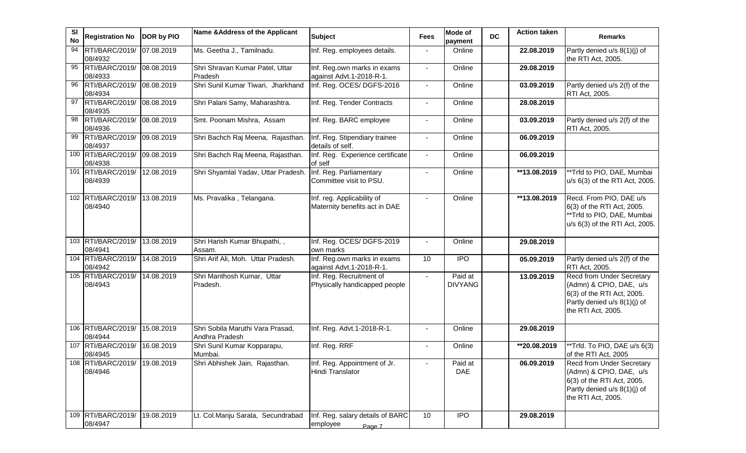| <b>SI</b><br><b>No</b> | <b>Registration No</b>                   | DOR by PIO | Name & Address of the Applicant                    | <b>Subject</b>                                              | <b>Fees</b>    | <b>Mode of</b><br>payment | <b>DC</b> | <b>Action taken</b> | <b>Remarks</b>                                                                                                                                  |
|------------------------|------------------------------------------|------------|----------------------------------------------------|-------------------------------------------------------------|----------------|---------------------------|-----------|---------------------|-------------------------------------------------------------------------------------------------------------------------------------------------|
| 94                     | RTI/BARC/2019/<br>08/4932                | 07.08.2019 | Ms. Geetha J., Tamilnadu.                          | Inf. Reg. employees details.                                |                | Online                    |           | 22.08.2019          | Partly denied u/s 8(1)(j) of<br>the RTI Act, 2005.                                                                                              |
| 95                     | RTI/BARC/2019/<br>08/4933                | 08.08.2019 | Shri Shravan Kumar Patel, Uttar<br>Pradesh         | Inf. Reg.own marks in exams<br>against Advt.1-2018-R-1.     | $\blacksquare$ | Online                    |           | 29.08.2019          |                                                                                                                                                 |
| 96                     | RTI/BARC/2019/<br>08/4934                | 08.08.2019 | Shri Sunil Kumar Tiwari, Jharkhand                 | Inf. Reg. OCES/ DGFS-2016                                   |                | Online                    |           | 03.09.2019          | Partly denied u/s 2(f) of the<br>RTI Act, 2005.                                                                                                 |
| 97                     | RTI/BARC/2019/<br>08/4935                | 08.08.2019 | Shri Palani Samy, Maharashtra.                     | Inf. Reg. Tender Contracts                                  |                | Online                    |           | 28.08.2019          |                                                                                                                                                 |
| 98                     | RTI/BARC/2019/<br>08/4936                | 08.08.2019 | Smt. Poonam Mishra, Assam                          | Inf. Reg. BARC employee                                     |                | Online                    |           | 03.09.2019          | Partly denied u/s 2(f) of the<br>RTI Act, 2005.                                                                                                 |
| 99                     | RTI/BARC/2019/<br>08/4937                | 09.08.2019 | Shri Bachch Raj Meena, Rajasthan.                  | Inf. Reg. Stipendiary trainee<br>details of self.           |                | Online                    |           | 06.09.2019          |                                                                                                                                                 |
|                        | 100 RTI/BARC/2019/<br>08/4938            | 09.08.2019 | Shri Bachch Raj Meena, Rajasthan.                  | Inf. Reg. Experience certificate<br>of self                 | $\blacksquare$ | Online                    |           | 06.09.2019          |                                                                                                                                                 |
| 101                    | RTI/BARC/2019/<br>08/4939                | 12.08.2019 | Shri Shyamlal Yadav, Uttar Pradesh.                | Inf. Reg. Parliamentary<br>Committee visit to PSU.          | $\Delta$       | Online                    |           | **13.08.2019        | **Trfd to PIO, DAE, Mumbai<br>u/s 6(3) of the RTI Act, 2005.                                                                                    |
|                        | 102 RTI/BARC/2019/<br>08/4940            | 13.08.2019 | Ms. Pravalika, Telangana.                          | Inf. reg. Applicability of<br>Maternity benefits act in DAE |                | Online                    |           | **13.08.2019        | Recd. From PIO, DAE u/s<br>6(3) of the RTI Act, 2005.<br>**Trfd to PIO, DAE, Mumbai<br>u/s 6(3) of the RTI Act, 2005.                           |
|                        | 103 RTI/BARC/2019/<br>08/4941            | 13.08.2019 | Shri Harish Kumar Bhupathi,,<br>Assam.             | Inf. Reg. OCES/ DGFS-2019<br>own marks                      |                | Online                    |           | 29.08.2019          |                                                                                                                                                 |
|                        | 104 RTI/BARC/2019/<br>08/4942            | 14.08.2019 | Shri Arif Ali, Moh. Uttar Pradesh.                 | Inf. Reg.own marks in exams<br>against Advt.1-2018-R-1.     | 10             | <b>IPO</b>                |           | 05.09.2019          | Partly denied u/s 2(f) of the<br>RTI Act, 2005.                                                                                                 |
|                        | 105 RTI/BARC/2019/<br>08/4943            | 14.08.2019 | Shri Manthosh Kumar, Uttar<br>Pradesh.             | Inf. Reg. Recruitment of<br>Physically handicapped people   |                | Paid at<br><b>DIVYANG</b> |           | 13.09.2019          | Recd from Under Secretary<br>(Admn) & CPIO, DAE, u/s<br>6(3) of the RTI Act, 2005.<br>Partly denied u/s 8(1)(j) of<br>the RTI Act, 2005.        |
|                        | 106 RTI/BARC/2019/<br>08/4944            | 15.08.2019 | Shri Sobila Maruthi Vara Prasad,<br>Andhra Pradesh | Inf. Reg. Advt.1-2018-R-1.                                  |                | Online                    |           | 29.08.2019          |                                                                                                                                                 |
|                        | 107 RTI/BARC/2019/<br>08/4945            | 16.08.2019 | Shri Sunil Kumar Kopparapu,<br>Mumbai.             | Inf. Reg. RRF                                               | $\blacksquare$ | Online                    |           | **20.08.2019        | **Trfd. To PIO, DAE u/s 6(3)<br>of the RTI Act, 2005                                                                                            |
|                        | 108 RTI/BARC/2019/ 19.08.2019<br>08/4946 |            | Shri Abhishek Jain, Rajasthan.                     | Inf. Reg. Appointment of Jr.<br>Hindi Translator            |                | Paid at<br><b>DAE</b>     |           | 06.09.2019          | <b>Recd from Under Secretary</b><br>(Admn) & CPIO, DAE, u/s<br>6(3) of the RTI Act, 2005.<br>Partly denied u/s 8(1)(j) of<br>the RTI Act, 2005. |
|                        | 109 RTI/BARC/2019/<br>08/4947            | 19.08.2019 | Lt. Col.Manju Sarala, Secundrabad                  | Inf. Reg. salary details of BARC<br>employee<br>Page 7      | 10             | <b>IPO</b>                |           | 29.08.2019          |                                                                                                                                                 |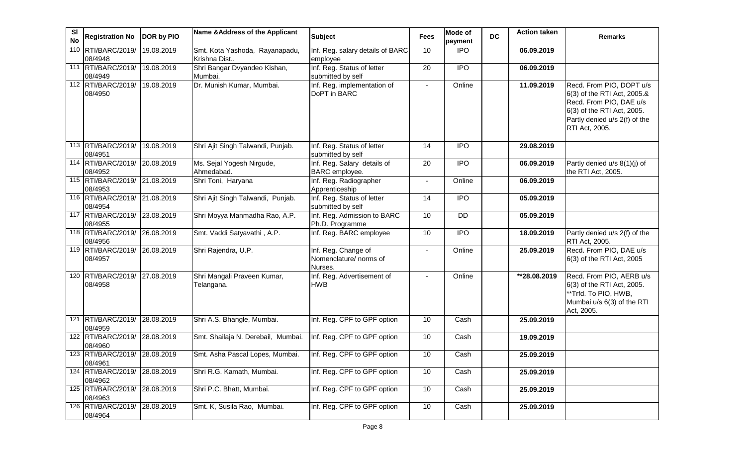| SI<br><b>No</b> | <b>Registration No</b>                   | DOR by PIO | Name & Address of the Applicant           | <b>Subject</b>                                           | Fees           | Mode of<br>payment | <b>DC</b> | <b>Action taken</b> | <b>Remarks</b>                                                                                                                                                      |
|-----------------|------------------------------------------|------------|-------------------------------------------|----------------------------------------------------------|----------------|--------------------|-----------|---------------------|---------------------------------------------------------------------------------------------------------------------------------------------------------------------|
|                 | 110 RTI/BARC/2019/                       | 19.08.2019 | Smt. Kota Yashoda, Rayanapadu,            | Inf. Reg. salary details of BARC                         | 10             | <b>IPO</b>         |           | 06.09.2019          |                                                                                                                                                                     |
|                 | 08/4948                                  |            | Krishna Dist                              | employee                                                 |                |                    |           |                     |                                                                                                                                                                     |
|                 | 111 RTI/BARC/2019/                       | 19.08.2019 | Shri Bangar Dvyandeo Kishan,              | Inf. Reg. Status of letter                               | 20             | <b>IPO</b>         |           | 06.09.2019          |                                                                                                                                                                     |
|                 | 08/4949                                  |            | Mumbai.                                   | submitted by self                                        |                |                    |           |                     |                                                                                                                                                                     |
|                 | 112 RTI/BARC/2019/<br>08/4950            | 19.08.2019 | Dr. Munish Kumar, Mumbai.                 | Inf. Reg. implementation of<br>DoPT in BARC              | $\blacksquare$ | Online             |           | 11.09.2019          | Recd. From PIO, DOPT u/s<br>6(3) of the RTI Act, 2005.&<br>Recd. From PIO, DAE u/s<br>6(3) of the RTI Act, 2005.<br>Partly denied u/s 2(f) of the<br>RTI Act, 2005. |
|                 | 113 RTI/BARC/2019/<br>08/4951            | 19.08.2019 | Shri Ajit Singh Talwandi, Punjab.         | Inf. Reg. Status of letter<br>submitted by self          | 14             | <b>IPO</b>         |           | 29.08.2019          |                                                                                                                                                                     |
|                 | 114 RTI/BARC/2019/<br>08/4952            | 20.08.2019 | Ms. Sejal Yogesh Nirgude,<br>Ahmedabad.   | Inf. Reg. Salary details of<br>BARC employee.            | 20             | $\overline{1}$     |           | 06.09.2019          | Partly denied u/s 8(1)(j) of<br>the RTI Act, 2005.                                                                                                                  |
|                 | 115 RTI/BARC/2019/ 21.08.2019<br>08/4953 |            | Shri Toni, Haryana                        | Inf. Reg. Radiographer<br>Apprenticeship                 | $\blacksquare$ | Online             |           | 06.09.2019          |                                                                                                                                                                     |
|                 | 116 RTI/BARC/2019/ 21.08.2019<br>08/4954 |            | Shri Ajit Singh Talwandi, Punjab.         | Inf. Reg. Status of letter<br>submitted by self          | 14             | $\overline{IPO}$   |           | 05.09.2019          |                                                                                                                                                                     |
|                 | 117 RTI/BARC/2019/ 23.08.2019<br>08/4955 |            | Shri Moyya Manmadha Rao, A.P.             | Inf. Reg. Admission to BARC<br>Ph.D. Programme           | 10             | <b>DD</b>          |           | 05.09.2019          |                                                                                                                                                                     |
|                 | 118 RTI/BARC/2019/ 26.08.2019<br>08/4956 |            | Smt. Vaddi Satyavathi, A.P.               | Inf. Reg. BARC employee                                  | 10             | <b>IPO</b>         |           | 18.09.2019          | Partly denied u/s 2(f) of the<br>RTI Act, 2005.                                                                                                                     |
|                 | 119 RTI/BARC/2019/ 26.08.2019<br>08/4957 |            | Shri Rajendra, U.P.                       | Inf. Reg. Change of<br>Nomenclature/ norms of<br>Nurses. |                | Online             |           | 25.09.2019          | Recd. From PIO, DAE u/s<br>6(3) of the RTI Act, 2005                                                                                                                |
|                 | 120 RTI/BARC/2019/<br>08/4958            | 27.08.2019 | Shri Mangali Praveen Kumar,<br>Telangana. | Inf. Reg. Advertisement of<br><b>HWB</b>                 |                | Online             |           | **28.08.2019        | Recd. From PIO, AERB u/s<br>6(3) of the RTI Act, 2005.<br>**Trfd. To PIO, HWB,<br>Mumbai u/s 6(3) of the RTI<br>Act, 2005.                                          |
|                 | 121 RTI/BARC/2019/<br>08/4959            | 28.08.2019 | Shri A.S. Bhangle, Mumbai.                | Inf. Reg. CPF to GPF option                              | 10             | Cash               |           | 25.09.2019          |                                                                                                                                                                     |
|                 | 122 RTI/BARC/2019/<br>08/4960            | 28.08.2019 | Smt. Shailaja N. Derebail, Mumbai.        | Inf. Reg. CPF to GPF option                              | 10             | Cash               |           | 19.09.2019          |                                                                                                                                                                     |
|                 | 123 RTI/BARC/2019/ 28.08.2019<br>08/4961 |            | Smt. Asha Pascal Lopes, Mumbai.           | Inf. Reg. CPF to GPF option                              | 10             | Cash               |           | 25.09.2019          |                                                                                                                                                                     |
| 124             | RTI/BARC/2019/<br>08/4962                | 28.08.2019 | Shri R.G. Kamath, Mumbai.                 | Inf. Reg. CPF to GPF option                              | 10             | Cash               |           | 25.09.2019          |                                                                                                                                                                     |
|                 | 125 RTI/BARC/2019/<br>08/4963            | 28.08.2019 | Shri P.C. Bhatt, Mumbai.                  | Inf. Reg. CPF to GPF option                              | 10             | Cash               |           | 25.09.2019          |                                                                                                                                                                     |
|                 | 126 RTI/BARC/2019/<br>08/4964            | 28.08.2019 | Smt. K, Susila Rao, Mumbai.               | Inf. Reg. CPF to GPF option                              | 10             | Cash               |           | 25.09.2019          |                                                                                                                                                                     |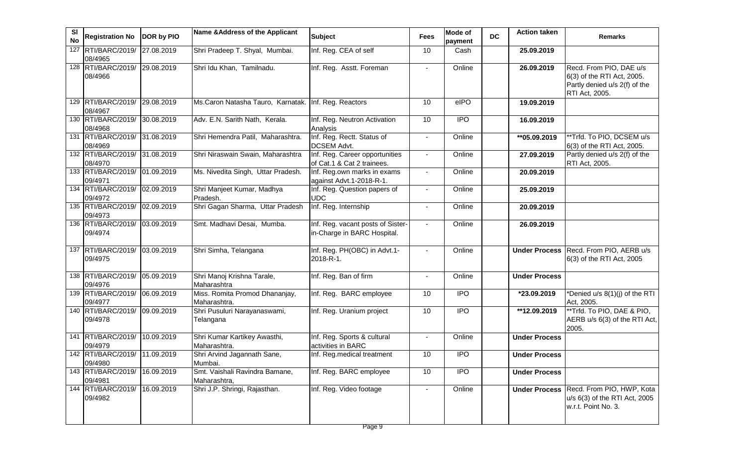| <b>SI</b><br><b>No</b> | Registration No   DOR by PIO             |            | Name & Address of the Applicant                       | <b>Subject</b>                                                   | Fees                     | <b>Mode of</b><br>payment | <b>DC</b> | <b>Action taken</b>     | <b>Remarks</b>                                                                                           |
|------------------------|------------------------------------------|------------|-------------------------------------------------------|------------------------------------------------------------------|--------------------------|---------------------------|-----------|-------------------------|----------------------------------------------------------------------------------------------------------|
| 127                    | RTI/BARC/2019/ 27.08.2019<br>08/4965     |            | Shri Pradeep T. Shyal, Mumbai.                        | Inf. Reg. CEA of self                                            | 10                       | Cash                      |           | 25.09.2019              |                                                                                                          |
|                        | 128 RTI/BARC/2019/ 29.08.2019<br>08/4966 |            | Shri Idu Khan, Tamilnadu.                             | Inf. Reg. Asstt. Foreman                                         | $\blacksquare$           | Online                    |           | 26.09.2019              | Recd. From PIO, DAE u/s<br>6(3) of the RTI Act, 2005.<br>Partly denied u/s 2(f) of the<br>RTI Act, 2005. |
|                        | 129 RTI/BARC/2019/ 29.08.2019<br>08/4967 |            | Ms. Caron Natasha Tauro, Karnatak. Inf. Reg. Reactors |                                                                  | 10                       | elPO                      |           | 19.09.2019              |                                                                                                          |
|                        | 130 RTI/BARC/2019/ 30.08.2019<br>08/4968 |            | Adv. E.N. Sarith Nath, Kerala.                        | Inf. Reg. Neutron Activation<br>Analysis                         | 10                       | <b>IPO</b>                |           | 16.09.2019              |                                                                                                          |
|                        | 131 RTI/BARC/2019/ 31.08.2019<br>08/4969 |            | Shri Hemendra Patil, Maharashtra.                     | Inf. Reg. Rectt. Status of<br>DCSEM Advt.                        |                          | Online                    |           | ** 05.09.2019           | **Trfd. To PIO, DCSEM u/s<br>6(3) of the RTI Act, 2005.                                                  |
|                        | 132 RTI/BARC/2019/ 31.08.2019<br>08/4970 |            | Shri Niraswain Swain, Maharashtra                     | Inf. Reg. Career opportunities<br>of Cat.1 & Cat 2 trainees.     | $\overline{\phantom{a}}$ | Online                    |           | 27.09.2019              | Partly denied u/s 2(f) of the<br>RTI Act, 2005.                                                          |
|                        | 133 RTI/BARC/2019/ 01.09.2019<br>09/4971 |            | Ms. Nivedita Singh, Uttar Pradesh.                    | Inf. Reg.own marks in exams<br>against Advt.1-2018-R-1.          | $\blacksquare$           | Online                    |           | 20.09.2019              |                                                                                                          |
|                        | 134 RTI/BARC/2019/<br>09/4972            | 02.09.2019 | Shri Manjeet Kumar, Madhya<br>Pradesh.                | Inf. Reg. Question papers of<br><b>UDC</b>                       | $\sim$                   | Online                    |           | 25.09.2019              |                                                                                                          |
|                        | 135 RTI/BARC/2019/ 02.09.2019<br>09/4973 |            | Shri Gagan Sharma, Uttar Pradesh                      | Inf. Reg. Internship                                             | $\overline{\phantom{a}}$ | Online                    |           | 20.09.2019              |                                                                                                          |
|                        | 136 RTI/BARC/2019/ 03.09.2019<br>09/4974 |            | Smt. Madhavi Desai, Mumba.                            | Inf. Reg. vacant posts of Sister-<br>in-Charge in BARC Hospital. | $\sim$                   | Online                    |           | 26.09.2019              |                                                                                                          |
|                        | 137 RTI/BARC/2019/<br>09/4975            | 03.09.2019 | Shri Simha, Telangana                                 | Inf. Reg. PH(OBC) in Advt.1-<br>2018-R-1.                        | $\sim$                   | Online                    |           | <b>Under Process</b>    | Recd. From PIO, AERB u/s<br>6(3) of the RTI Act, 2005                                                    |
|                        | 138 RTI/BARC/2019/<br>09/4976            | 05.09.2019 | Shri Manoj Krishna Tarale,<br>Maharashtra             | Inf. Reg. Ban of firm                                            | $\blacksquare$           | Online                    |           | <b>Under Process</b>    |                                                                                                          |
|                        | 139 RTI/BARC/2019/<br>09/4977            | 06.09.2019 | Miss. Romita Promod Dhananjay,<br>Maharashtra.        | Inf. Reg. BARC employee                                          | 10                       | <b>IPO</b>                |           | *23.09.2019             | *Denied u/s 8(1)(j) of the RTI<br>Act, 2005.                                                             |
|                        | 140 RTI/BARC/2019/<br>09/4978            | 09.09.2019 | Shri Pusuluri Narayanaswami,<br>Telangana             | Inf. Reg. Uranium project                                        | 10                       | <b>IPO</b>                |           | $\overline{12.09.2019}$ | **Trfd. To PIO, DAE & PIO,<br>AERB u/s 6(3) of the RTI Act,<br>2005.                                     |
|                        | 141 RTI/BARC/2019/<br>09/4979            | 10.09.2019 | Shri Kumar Kartikey Awasthi,<br>Maharashtra.          | Inf. Reg. Sports & cultural<br>activities in BARC                | $\sim$                   | Online                    |           | <b>Under Process</b>    |                                                                                                          |
|                        | 142 RTI/BARC/2019/ 11.09.2019<br>09/4980 |            | Shri Arvind Jagannath Sane,<br>Mumbai.                | Inf. Reg.medical treatment                                       | 10                       | <b>IPO</b>                |           | <b>Under Process</b>    |                                                                                                          |
|                        | 143 RTI/BARC/2019/<br>09/4981            | 16.09.2019 | Smt. Vaishali Ravindra Bamane,<br>Maharashtra,        | Inf. Reg. BARC employee                                          | 10                       | <b>IPO</b>                |           | <b>Under Process</b>    |                                                                                                          |
|                        | 144 RTI/BARC/2019/<br>09/4982            | 16.09.2019 | Shri J.P. Shringi, Rajasthan.                         | Inf. Reg. Video footage                                          | $\blacksquare$           | Online                    |           | <b>Under Process</b>    | Recd. From PIO, HWP, Kota<br>u/s 6(3) of the RTI Act, 2005<br>w.r.t. Point No. 3.                        |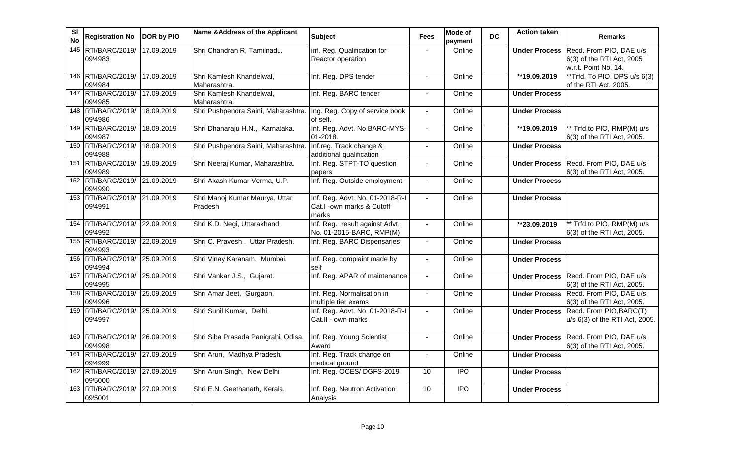| SI<br><b>No</b> | <b>Registration No</b>                   | DOR by PIO | Name & Address of the Applicant                                    | <b>Subject</b>                                                        | <b>Fees</b>              | <b>Mode of</b><br>payment | <b>DC</b> | <b>Action taken</b>  | <b>Remarks</b>                                                                             |
|-----------------|------------------------------------------|------------|--------------------------------------------------------------------|-----------------------------------------------------------------------|--------------------------|---------------------------|-----------|----------------------|--------------------------------------------------------------------------------------------|
| 145             | RTI/BARC/2019/<br>09/4983                | 17.09.2019 | Shri Chandran R, Tamilnadu.                                        | inf. Reg. Qualification for<br><b>Reactor operation</b>               |                          | Online                    |           |                      | Under Process Recd. From PIO, DAE u/s<br>6(3) of the RTI Act, 2005<br>w.r.t. Point No. 14. |
|                 | 146 RTI/BARC/2019/ 17.09.2019<br>09/4984 |            | Shri Kamlesh Khandelwal,<br>Maharashtra.                           | Inf. Reg. DPS tender                                                  |                          | Online                    |           | **19.09.2019         | **Trfd. To PIO, DPS u/s 6(3)<br>of the RTI Act, 2005.                                      |
|                 | 147 RTI/BARC/2019/<br>09/4985            | 17.09.2019 | Shri Kamlesh Khandelwal,<br>Maharashtra.                           | Inf. Reg. BARC tender                                                 | $\sim$                   | Online                    |           | <b>Under Process</b> |                                                                                            |
|                 | 148 RTI/BARC/2019/<br>09/4986            | 18.09.2019 | Shri Pushpendra Saini, Maharashtra. Ing. Reg. Copy of service book | of self.                                                              | $\overline{\phantom{a}}$ | Online                    |           | <b>Under Process</b> |                                                                                            |
|                 | 149 RTI/BARC/2019/<br>09/4987            | 18.09.2019 | Shri Dhanaraju H.N., Karnataka.                                    | Inf. Reg. Advt. No.BARC-MYS-<br>01-2018.                              | $\sim$                   | Online                    |           | **19.09.2019         | ** Trfd.to PIO, RMP(M) u/s<br>6(3) of the RTI Act, 2005.                                   |
|                 | 150 RTI/BARC/2019/<br>09/4988            | 18.09.2019 | Shri Pushpendra Saini, Maharashtra.                                | Inf.reg. Track change &<br>additional qualification                   | $\sim$                   | Online                    |           | <b>Under Process</b> |                                                                                            |
|                 | 151 RTI/BARC/2019/ 19.09.2019<br>09/4989 |            | Shri Neeraj Kumar, Maharashtra.                                    | Inf. Reg. STPT-TO question<br>papers                                  |                          | Online                    |           |                      | Under Process Recd. From PIO, DAE u/s<br>6(3) of the RTI Act, 2005.                        |
|                 | 152 RTI/BARC/2019/ 21.09.2019<br>09/4990 |            | Shri Akash Kumar Verma, U.P.                                       | Inf. Reg. Outside employment                                          | $\sim$                   | Online                    |           | <b>Under Process</b> |                                                                                            |
|                 | 153 RTI/BARC/2019/ 21.09.2019<br>09/4991 |            | Shri Manoj Kumar Maurya, Uttar<br>Pradesh                          | Inf. Reg. Advt. No. 01-2018-R-I<br>Cat.I -own marks & Cutoff<br>marks | $\sim$                   | Online                    |           | <b>Under Process</b> |                                                                                            |
|                 | 154 RTI/BARC/2019/ 22.09.2019<br>09/4992 |            | Shri K.D. Negi, Uttarakhand.                                       | Inf. Reg. result against Advt.<br>No. 01-2015-BARC, RMP(M)            | $\Delta$                 | Online                    |           | **23.09.2019         | ** Trfd.to PIO, RMP(M) u/s<br>6(3) of the RTI Act, 2005.                                   |
|                 | 155 RTI/BARC/2019/ 22.09.2019<br>09/4993 |            | Shri C. Pravesh, Uttar Pradesh.                                    | Inf. Reg. BARC Dispensaries                                           | $\blacksquare$           | Online                    |           | <b>Under Process</b> |                                                                                            |
|                 | 156 RTI/BARC/2019/ 25.09.2019<br>09/4994 |            | Shri Vinay Karanam, Mumbai.                                        | Inf. Reg. complaint made by<br>self                                   |                          | Online                    |           | <b>Under Process</b> |                                                                                            |
|                 | 157 RTI/BARC/2019/ 25.09.2019<br>09/4995 |            | Shri Vankar J.S., Gujarat.                                         | Inf. Reg. APAR of maintenance                                         | $\blacksquare$           | Online                    |           |                      | Under Process Recd. From PIO, DAE u/s<br>6(3) of the RTI Act, 2005.                        |
|                 | 158 RTI/BARC/2019/ 25.09.2019<br>09/4996 |            | Shri Amar Jeet, Gurgaon,                                           | Inf. Reg. Normalisation in<br>multiple tier exams                     | $\blacksquare$           | Online                    |           |                      | Under Process Recd. From PIO, DAE u/s<br>6(3) of the RTI Act, 2005.                        |
|                 | 159 RTI/BARC/2019/<br>09/4997            | 25.09.2019 | Shri Sunil Kumar, Delhi.                                           | Inf. Reg. Advt. No. 01-2018-R-I<br>Cat.II - own marks                 |                          | Online                    |           |                      | Under Process Recd. From PIO, BARC(T)<br>u/s 6(3) of the RTI Act, 2005.                    |
|                 | 160 RTI/BARC/2019/ 26.09.2019<br>09/4998 |            | Shri Siba Prasada Panigrahi, Odisa.                                | Inf. Reg. Young Scientist<br>Award                                    | $\mathbf{r}$             | Online                    |           | <b>Under Process</b> | Recd. From PIO, DAE u/s<br>6(3) of the RTI Act, 2005.                                      |
|                 | 161 RTI/BARC/2019/ 27.09.2019<br>09/4999 |            | Shri Arun, Madhya Pradesh.                                         | Inf. Reg. Track change on<br>medical ground                           |                          | Online                    |           | <b>Under Process</b> |                                                                                            |
|                 | 162 RTI/BARC/2019/ 27.09.2019<br>09/5000 |            | Shri Arun Singh, New Delhi.                                        | Inf. Reg. OCES/DGFS-2019                                              | 10                       | $\overline{1}$            |           | <b>Under Process</b> |                                                                                            |
|                 | 163 RTI/BARC/2019/ 27.09.2019<br>09/5001 |            | Shri E.N. Geethanath, Kerala.                                      | Inf. Reg. Neutron Activation<br>Analysis                              | 10                       | <b>IPO</b>                |           | <b>Under Process</b> |                                                                                            |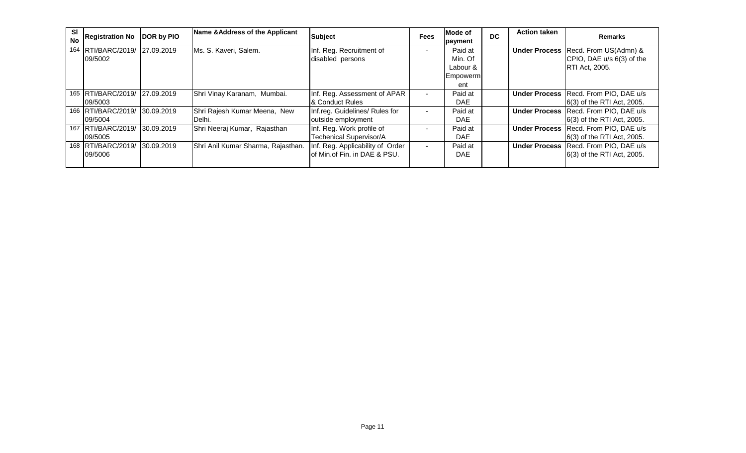| SI<br><b>No</b> | <b>Registration No</b>        | <b>DOR by PIO</b> | Name & Address of the Applicant    | <b>Subject</b>                   | <b>Fees</b>    | Mode of<br>payment | <b>DC</b> | <b>Action taken</b> | <b>Remarks</b>                                 |
|-----------------|-------------------------------|-------------------|------------------------------------|----------------------------------|----------------|--------------------|-----------|---------------------|------------------------------------------------|
|                 | 164 RTI/BARC/2019/ 27.09.2019 |                   | Ms. S. Kaveri, Salem.              | Inf. Reg. Recruitment of         | $\,$ $\,$      | Paid at            |           |                     | <b>Under Process Recd. From US(Admn) &amp;</b> |
|                 | 09/5002                       |                   |                                    | disabled persons                 |                | Min. Of            |           |                     | CPIO, DAE u/s 6(3) of the                      |
|                 |                               |                   |                                    |                                  |                | Labour &           |           |                     | <b>RTI Act, 2005.</b>                          |
|                 |                               |                   |                                    |                                  |                | Empowerm           |           |                     |                                                |
|                 |                               |                   |                                    |                                  |                | ent                |           |                     |                                                |
|                 | 165 RTI/BARC/2019/ 27.09.2019 |                   | Shri Vinay Karanam, Mumbai.        | Inf. Reg. Assessment of APAR     | $\blacksquare$ | Paid at            |           |                     | Under Process Recd. From PIO, DAE u/s          |
|                 | 09/5003                       |                   |                                    | & Conduct Rules                  |                | DAE.               |           |                     | [6(3) of the RTI Act, 2005.                    |
|                 | 166 RTI/BARC/2019/ 30.09.2019 |                   | Shri Rajesh Kumar Meena, New       | Inf.reg. Guidelines/ Rules for   | $\blacksquare$ | Paid at            |           |                     | Under Process Recd. From PIO, DAE u/s          |
|                 | 09/5004                       |                   | Delhi.                             | outside employment               |                | DAE.               |           |                     | 6(3) of the RTI Act, 2005.                     |
|                 | 167 RTI/BARC/2019/            | 30.09.2019        | Shri Neeraj Kumar, Rajasthan       | Inf. Reg. Work profile of        | $\blacksquare$ | Paid at            |           |                     | Under Process Recd. From PIO, DAE u/s          |
|                 | 09/5005                       |                   |                                    | Techenical Supervisor/A          |                | DAE.               |           |                     | 6(3) of the RTI Act, 2005.                     |
|                 | 168 RTI/BARC/2019/ 30.09.2019 |                   | Shri Anil Kumar Sharma, Rajasthan. | Inf. Reg. Applicability of Order | $\blacksquare$ | Paid at            |           |                     | <b>Under Process Recd. From PIO, DAE u/s</b>   |
|                 | 09/5006                       |                   |                                    | of Min.of Fin. in DAE & PSU.     |                | <b>DAE</b>         |           |                     | [6(3) of the RTI Act, 2005.                    |
|                 |                               |                   |                                    |                                  |                |                    |           |                     |                                                |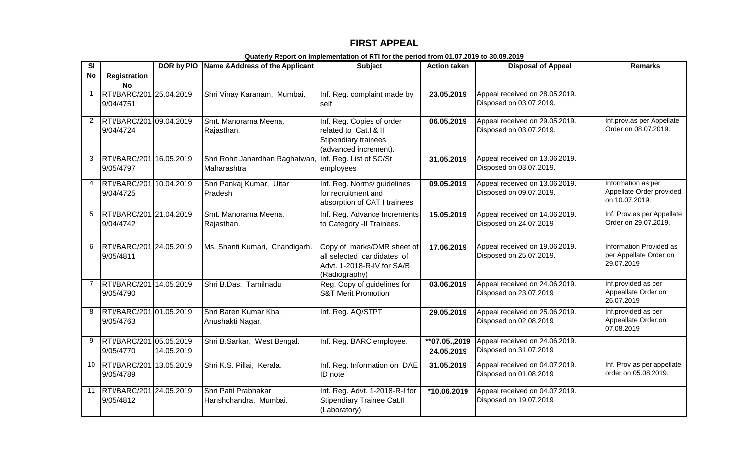## **FIRST APPEAL**

| $\overline{\mathbf{s}}$ |                                      |            | DOR by PIO Name & Address of the Applicant     | <b>Subject</b>                                                                                          | <b>Action taken</b>         | <b>Disposal of Appeal</b>                                 | <b>Remarks</b>                                                   |
|-------------------------|--------------------------------------|------------|------------------------------------------------|---------------------------------------------------------------------------------------------------------|-----------------------------|-----------------------------------------------------------|------------------------------------------------------------------|
| <b>No</b>               | <b>Registration</b><br><b>No</b>     |            |                                                |                                                                                                         |                             |                                                           |                                                                  |
| $\mathbf{1}$            | RTI/BARC/201 25.04.2019<br>9/04/4751 |            | Shri Vinay Karanam, Mumbai.                    | Inf. Reg. complaint made by<br>self                                                                     | 23.05.2019                  | Appeal received on 28.05.2019.<br>Disposed on 03.07.2019. |                                                                  |
| 2                       | RTI/BARC/201 09.04.2019<br>9/04/4724 |            | Smt. Manorama Meena,<br>Rajasthan.             | Inf. Reg. Copies of order<br>related to Cat.I & II<br>Stipendiary trainees<br>(advanced increment).     | 06.05.2019                  | Appeal received on 29.05.2019.<br>Disposed on 03.07.2019. | Inf.prov.as per Appellate<br>Order on 08.07.2019.                |
| $\mathbf{3}$            | RTI/BARC/201 16.05.2019<br>9/05/4797 |            | Shri Rohit Janardhan Raghatwan,<br>Maharashtra | Inf. Reg. List of SC/St<br>employees                                                                    | 31.05.2019                  | Appeal received on 13.06.2019.<br>Disposed on 03.07.2019. |                                                                  |
| 4                       | RTI/BARC/201 10.04.2019<br>9/04/4725 |            | Shri Pankaj Kumar, Uttar<br>Pradesh            | Inf. Reg. Norms/ guidelines<br>for recruitment and<br>absorption of CAT I trainees                      | 09.05.2019                  | Appeal received on 13.06.2019.<br>Disposed on 09.07.2019. | Information as per<br>Appellate Order provided<br>on 10.07.2019. |
| 5                       | RTI/BARC/201 21.04.2019<br>9/04/4742 |            | Smt. Manorama Meena,<br>Rajasthan.             | Inf. Reg. Advance Increments<br>to Category -II Trainees.                                               | 15.05.2019                  | Appeal received on 14.06.2019.<br>Disposed on 24.07.2019  | Inf. Prov.as per Appellate<br>Order on 29.07.2019.               |
| 6                       | RTI/BARC/201 24.05.2019<br>9/05/4811 |            | Ms. Shanti Kumari, Chandigarh.                 | Copy of marks/OMR sheet of<br>all selected candidates of<br>Advt. 1-2018-R-IV for SA/B<br>(Radiography) | 17.06.2019                  | Appeal received on 19.06.2019.<br>Disposed on 25.07.2019. | Information Provided as<br>per Appellate Order on<br>29.07.2019  |
| $\overline{7}$          | RTI/BARC/201 14.05.2019<br>9/05/4790 |            | Shri B.Das, Tamilnadu                          | Reg. Copy of guidelines for<br><b>S&amp;T Merit Promotion</b>                                           | 03.06.2019                  | Appeal received on 24.06.2019.<br>Disposed on 23.07.2019  | Inf.provided as per<br>Appeallate Order on<br>26.07.2019         |
| 8                       | RTI/BARC/201 01.05.2019<br>9/05/4763 |            | Shri Baren Kumar Kha,<br>Anushakti Nagar.      | Inf. Reg. AQ/STPT                                                                                       | 29.05.2019                  | Appeal received on 25.06.2019.<br>Disposed on 02.08.2019  | Inf.provided as per<br>Appeallate Order on<br>07.08.2019         |
| 9                       | RTI/BARC/201 05.05.2019<br>9/05/4770 | 14.05.2019 | Shri B.Sarkar, West Bengal.                    | Inf. Reg. BARC employee.                                                                                | **07.05.,2019<br>24.05.2019 | Appeal received on 24.06.2019.<br>Disposed on 31.07.2019  |                                                                  |
| 10                      | RTI/BARC/201 13.05.2019<br>9/05/4789 |            | Shri K.S. Pillai, Kerala.                      | Inf. Reg. Information on DAE<br>ID note                                                                 | 31.05.2019                  | Appeal received on 04.07.2019.<br>Disposed on 01.08.2019  | Inf. Prov as per appellate<br>order on 05.08.2019.               |
| 11                      | RTI/BARC/201 24.05.2019<br>9/05/4812 |            | Shri Patil Prabhakar<br>Harishchandra, Mumbai. | Inf. Reg. Advt. 1-2018-R-I for<br><b>Stipendiary Trainee Cat.II</b><br>(Laboratory)                     | *10.06.2019                 | Appeal received on 04.07.2019.<br>Disposed on 19.07.2019  |                                                                  |

**Quaterly Report on Implementation of RTI for the period from 01.07.2019 to 30.09.2019**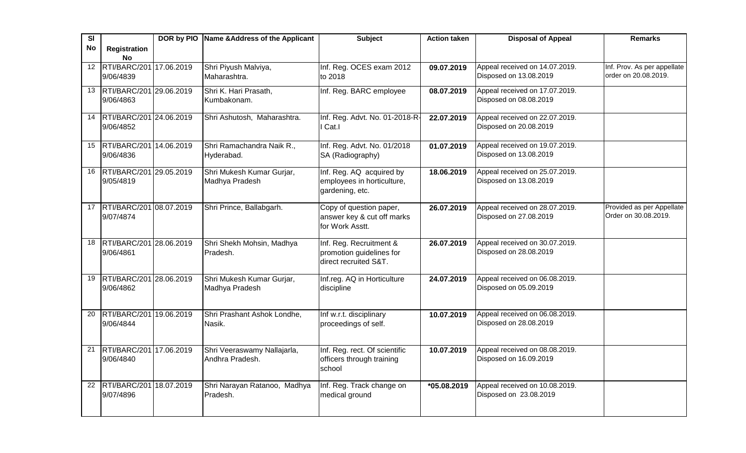| SI              |                                      | DOR by PIO Name & Address of the Applicant | <b>Subject</b>                                      | <b>Action taken</b> | <b>Disposal of Appeal</b>                                | <b>Remarks</b>                                      |
|-----------------|--------------------------------------|--------------------------------------------|-----------------------------------------------------|---------------------|----------------------------------------------------------|-----------------------------------------------------|
| No              | Registration                         |                                            |                                                     |                     |                                                          |                                                     |
|                 | <b>No</b>                            |                                            |                                                     |                     |                                                          |                                                     |
| $\overline{12}$ | RTI/BARC/201 17.06.2019              | Shri Piyush Malviya,                       | Inf. Reg. OCES exam 2012                            | 09.07.2019          | Appeal received on 14.07.2019.                           | Inf. Prov. As per appellate<br>order on 20.08.2019. |
|                 | 9/06/4839                            | Maharashtra.                               | to 2018                                             |                     | Disposed on 13.08.2019                                   |                                                     |
| 13              | RTI/BARC/201 29.06.2019              | Shri K. Hari Prasath,                      | Inf. Reg. BARC employee                             | 08.07.2019          | Appeal received on 17.07.2019.                           |                                                     |
|                 | 9/06/4863                            | Kumbakonam.                                |                                                     |                     | Disposed on 08.08.2019                                   |                                                     |
| 14              | RTI/BARC/201 24.06.2019              | Shri Ashutosh, Maharashtra.                | Inf. Reg. Advt. No. 01-2018-R-                      | 22.07.2019          | Appeal received on 22.07.2019.                           |                                                     |
|                 | 9/06/4852                            |                                            | Cat.I                                               |                     | Disposed on 20.08.2019                                   |                                                     |
|                 |                                      |                                            |                                                     |                     |                                                          |                                                     |
| 15              | RTI/BARC/201 14.06.2019              | Shri Ramachandra Naik R.,                  | Inf. Reg. Advt. No. 01/2018                         | 01.07.2019          | Appeal received on 19.07.2019.                           |                                                     |
|                 | 9/06/4836                            | Hyderabad.                                 | SA (Radiography)                                    |                     | Disposed on 13.08.2019                                   |                                                     |
| 16              | RTI/BARC/201 29.05.2019              | Shri Mukesh Kumar Gurjar,                  | Inf. Reg. AQ acquired by                            | 18.06.2019          | Appeal received on 25.07.2019.                           |                                                     |
|                 | 9/05/4819                            | Madhya Pradesh                             | employees in horticulture,                          |                     | Disposed on 13.08.2019                                   |                                                     |
|                 |                                      |                                            | gardening, etc.                                     |                     |                                                          |                                                     |
| 17              | RTI/BARC/201 08.07.2019              | Shri Prince, Ballabgarh.                   | Copy of question paper,                             | 26.07.2019          | Appeal received on 28.07.2019.                           | Provided as per Appellate                           |
|                 | 9/07/4874                            |                                            | answer key & cut off marks                          |                     | Disposed on 27.08.2019                                   | Order on 30.08.2019.                                |
|                 |                                      |                                            | for Work Asstt.                                     |                     |                                                          |                                                     |
|                 |                                      |                                            |                                                     |                     |                                                          |                                                     |
| 18              | RTI/BARC/201 28.06.2019<br>9/06/4861 | Shri Shekh Mohsin, Madhya<br>Pradesh.      | Inf. Reg. Recruitment &<br>promotion guidelines for | 26.07.2019          | Appeal received on 30.07.2019.<br>Disposed on 28.08.2019 |                                                     |
|                 |                                      |                                            | direct recruited S&T.                               |                     |                                                          |                                                     |
|                 |                                      |                                            |                                                     |                     |                                                          |                                                     |
| 19              | RTI/BARC/201 28.06.2019              | Shri Mukesh Kumar Gurjar,                  | Inf.reg. AQ in Horticulture                         | 24.07.2019          | Appeal received on 06.08.2019.                           |                                                     |
|                 | 9/06/4862                            | Madhya Pradesh                             | discipline                                          |                     | Disposed on 05.09.2019                                   |                                                     |
|                 |                                      |                                            |                                                     |                     |                                                          |                                                     |
| 20              | RTI/BARC/201 19.06.2019              | Shri Prashant Ashok Londhe,                | Inf w.r.t. disciplinary                             | 10.07.2019          | Appeal received on 06.08.2019.                           |                                                     |
|                 | 9/06/4844                            | Nasik.                                     | proceedings of self.                                |                     | Disposed on 28.08.2019                                   |                                                     |
|                 |                                      |                                            |                                                     |                     |                                                          |                                                     |
| 21              | RTI/BARC/201 17.06.2019              | Shri Veeraswamy Nallajarla,                | Inf. Reg. rect. Of scientific                       | 10.07.2019          | Appeal received on 08.08.2019.                           |                                                     |
|                 | 9/06/4840                            | Andhra Pradesh.                            | officers through training                           |                     | Disposed on 16.09.2019                                   |                                                     |
|                 |                                      |                                            | school                                              |                     |                                                          |                                                     |
| 22              | RTI/BARC/201 18.07.2019              | Shri Narayan Ratanoo, Madhya               | Inf. Reg. Track change on                           | *05.08.2019         | Appeal received on 10.08.2019.                           |                                                     |
|                 | 9/07/4896                            | Pradesh.                                   | medical ground                                      |                     | Disposed on 23.08.2019                                   |                                                     |
|                 |                                      |                                            |                                                     |                     |                                                          |                                                     |
|                 |                                      |                                            |                                                     |                     |                                                          |                                                     |